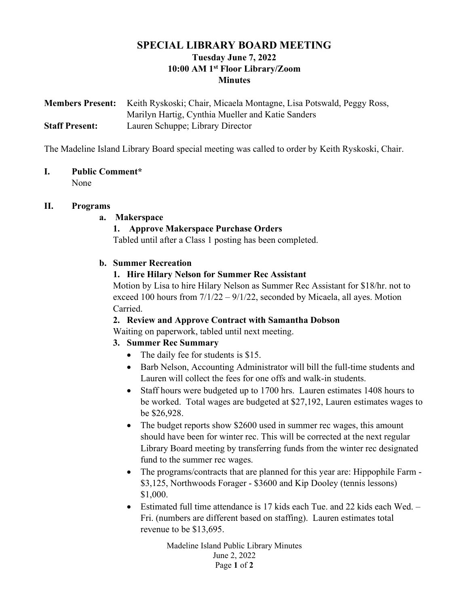# SPECIAL LIBRARY BOARD MEETING Tuesday June 7, 2022 10:00 AM 1st Floor Library/Zoom **Minutes**

Members Present: Keith Ryskoski; Chair, Micaela Montagne, Lisa Potswald, Peggy Ross, Marilyn Hartig, Cynthia Mueller and Katie Sanders Staff Present: Lauren Schuppe; Library Director

The Madeline Island Library Board special meeting was called to order by Keith Ryskoski, Chair.

## I. Public Comment\*

None

## II. Programs

## a. Makerspace

## 1. Approve Makerspace Purchase Orders

Tabled until after a Class 1 posting has been completed.

## b. Summer Recreation

## 1. Hire Hilary Nelson for Summer Rec Assistant

Motion by Lisa to hire Hilary Nelson as Summer Rec Assistant for \$18/hr. not to exceed 100 hours from  $7/1/22 - 9/1/22$ , seconded by Micaela, all ayes. Motion Carried.

## 2. Review and Approve Contract with Samantha Dobson

Waiting on paperwork, tabled until next meeting.

# 3. Summer Rec Summary

- The daily fee for students is \$15.
- Barb Nelson, Accounting Administrator will bill the full-time students and Lauren will collect the fees for one offs and walk-in students.
- Staff hours were budgeted up to 1700 hrs. Lauren estimates 1408 hours to be worked. Total wages are budgeted at \$27,192, Lauren estimates wages to be \$26,928.
- The budget reports show \$2600 used in summer rec wages, this amount should have been for winter rec. This will be corrected at the next regular Library Board meeting by transferring funds from the winter rec designated fund to the summer rec wages.
- The programs/contracts that are planned for this year are: Hippophile Farm \$3,125, Northwoods Forager - \$3600 and Kip Dooley (tennis lessons) \$1,000.
- Estimated full time attendance is 17 kids each Tue. and 22 kids each Wed.  $-$ Fri. (numbers are different based on staffing). Lauren estimates total revenue to be \$13,695.

Madeline Island Public Library Minutes June 2, 2022 Page 1 of 2